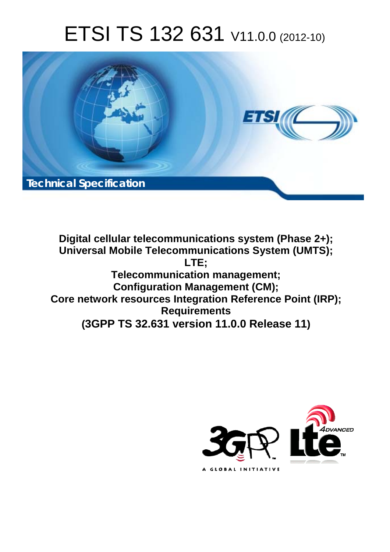# ETSI TS 132 631 V11.0.0 (2012-10)



**Digital cellular telecommunications system (Phase 2+); Universal Mobile Telecommunications System (UMTS); LTE; Telecommunication management; Configuration Management (CM); Core network resources Integration Reference Point (IRP); Requirements (3GPP TS 32.631 version 11.0.0 Release 11)**

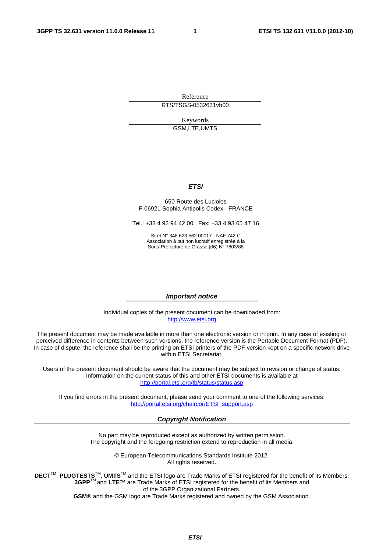Reference RTS/TSGS-0532631vb00

> Keywords GSM,LTE,UMTS

#### *ETSI*

#### 650 Route des Lucioles F-06921 Sophia Antipolis Cedex - FRANCE

Tel.: +33 4 92 94 42 00 Fax: +33 4 93 65 47 16

Siret N° 348 623 562 00017 - NAF 742 C Association à but non lucratif enregistrée à la Sous-Préfecture de Grasse (06) N° 7803/88

#### *Important notice*

Individual copies of the present document can be downloaded from: [http://www.etsi.org](http://www.etsi.org/)

The present document may be made available in more than one electronic version or in print. In any case of existing or perceived difference in contents between such versions, the reference version is the Portable Document Format (PDF). In case of dispute, the reference shall be the printing on ETSI printers of the PDF version kept on a specific network drive within ETSI Secretariat.

Users of the present document should be aware that the document may be subject to revision or change of status. Information on the current status of this and other ETSI documents is available at <http://portal.etsi.org/tb/status/status.asp>

If you find errors in the present document, please send your comment to one of the following services: [http://portal.etsi.org/chaircor/ETSI\\_support.asp](http://portal.etsi.org/chaircor/ETSI_support.asp)

#### *Copyright Notification*

No part may be reproduced except as authorized by written permission. The copyright and the foregoing restriction extend to reproduction in all media.

> © European Telecommunications Standards Institute 2012. All rights reserved.

**DECT**TM, **PLUGTESTS**TM, **UMTS**TM and the ETSI logo are Trade Marks of ETSI registered for the benefit of its Members. **3GPP**TM and **LTE**™ are Trade Marks of ETSI registered for the benefit of its Members and of the 3GPP Organizational Partners.

**GSM**® and the GSM logo are Trade Marks registered and owned by the GSM Association.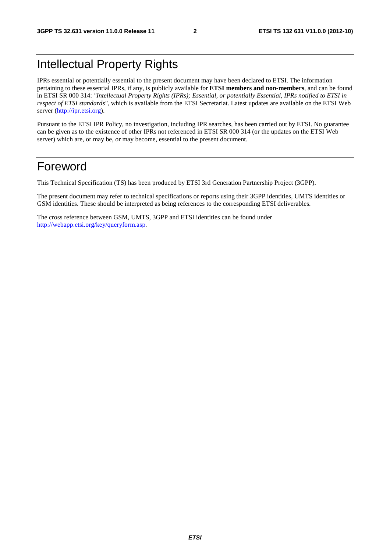### Intellectual Property Rights

IPRs essential or potentially essential to the present document may have been declared to ETSI. The information pertaining to these essential IPRs, if any, is publicly available for **ETSI members and non-members**, and can be found in ETSI SR 000 314: *"Intellectual Property Rights (IPRs); Essential, or potentially Essential, IPRs notified to ETSI in respect of ETSI standards"*, which is available from the ETSI Secretariat. Latest updates are available on the ETSI Web server ([http://ipr.etsi.org\)](http://webapp.etsi.org/IPR/home.asp).

Pursuant to the ETSI IPR Policy, no investigation, including IPR searches, has been carried out by ETSI. No guarantee can be given as to the existence of other IPRs not referenced in ETSI SR 000 314 (or the updates on the ETSI Web server) which are, or may be, or may become, essential to the present document.

### Foreword

This Technical Specification (TS) has been produced by ETSI 3rd Generation Partnership Project (3GPP).

The present document may refer to technical specifications or reports using their 3GPP identities, UMTS identities or GSM identities. These should be interpreted as being references to the corresponding ETSI deliverables.

The cross reference between GSM, UMTS, 3GPP and ETSI identities can be found under [http://webapp.etsi.org/key/queryform.asp.](http://webapp.etsi.org/key/queryform.asp)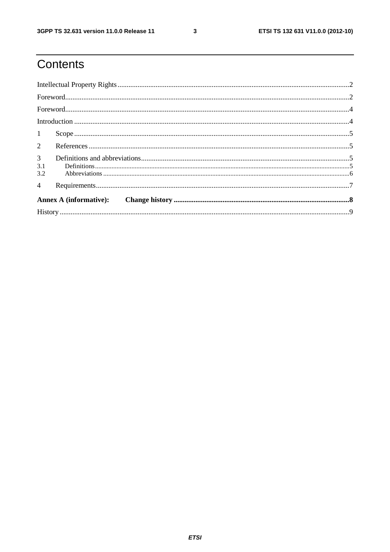$\mathbf{3}$ 

# Contents

| $1 \quad \blacksquare$       |  |
|------------------------------|--|
|                              |  |
| 3 <sup>1</sup><br>3.1<br>3.2 |  |
| $\overline{4}$               |  |
|                              |  |
|                              |  |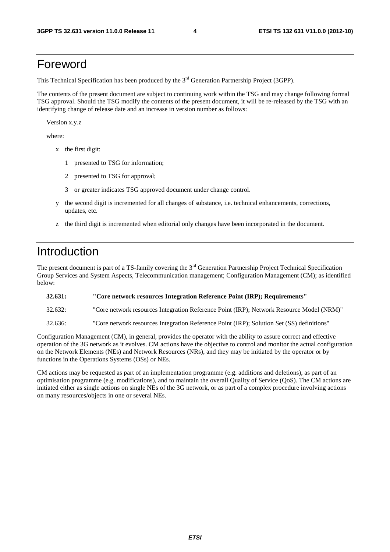### Foreword

This Technical Specification has been produced by the 3<sup>rd</sup> Generation Partnership Project (3GPP).

The contents of the present document are subject to continuing work within the TSG and may change following formal TSG approval. Should the TSG modify the contents of the present document, it will be re-released by the TSG with an identifying change of release date and an increase in version number as follows:

Version x.y.z

where:

- x the first digit:
	- 1 presented to TSG for information;
	- 2 presented to TSG for approval;
	- 3 or greater indicates TSG approved document under change control.
- y the second digit is incremented for all changes of substance, i.e. technical enhancements, corrections, updates, etc.
- z the third digit is incremented when editorial only changes have been incorporated in the document.

### Introduction

The present document is part of a TS-family covering the 3<sup>rd</sup> Generation Partnership Project Technical Specification Group Services and System Aspects, Telecommunication management; Configuration Management (CM); as identified below:

#### **32.631: "Core network resources Integration Reference Point (IRP); Requirements"**

32.632: "Core network resources Integration Reference Point (IRP); Network Resource Model (NRM)"

32.636: "Core network resources Integration Reference Point (IRP); Solution Set (SS) definitions"

Configuration Management (CM), in general, provides the operator with the ability to assure correct and effective operation of the 3G network as it evolves. CM actions have the objective to control and monitor the actual configuration on the Network Elements (NEs) and Network Resources (NRs), and they may be initiated by the operator or by functions in the Operations Systems (OSs) or NEs.

CM actions may be requested as part of an implementation programme (e.g. additions and deletions), as part of an optimisation programme (e.g. modifications), and to maintain the overall Quality of Service (QoS). The CM actions are initiated either as single actions on single NEs of the 3G network, or as part of a complex procedure involving actions on many resources/objects in one or several NEs.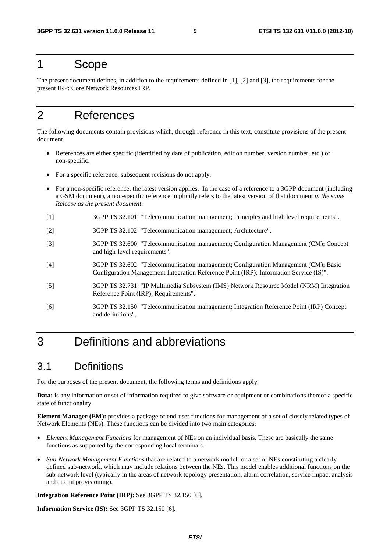### 1 Scope

The present document defines, in addition to the requirements defined in [1], [2] and [3], the requirements for the present IRP: Core Network Resources IRP.

### 2 References

The following documents contain provisions which, through reference in this text, constitute provisions of the present document.

- References are either specific (identified by date of publication, edition number, version number, etc.) or non-specific.
- For a specific reference, subsequent revisions do not apply.
- For a non-specific reference, the latest version applies. In the case of a reference to a 3GPP document (including a GSM document), a non-specific reference implicitly refers to the latest version of that document *in the same Release as the present document*.
- [1] 3GPP TS 32.101: "Telecommunication management; Principles and high level requirements".
- [2] 3GPP TS 32.102: "Telecommunication management; Architecture".
- [3] 3GPP TS 32.600: "Telecommunication management; Configuration Management (CM); Concept and high-level requirements".
- [4] 3GPP TS 32.602: "Telecommunication management; Configuration Management (CM); Basic Configuration Management Integration Reference Point (IRP): Information Service (IS)".
- [5] 3GPP TS 32.731: "IP Multimedia Subsystem (IMS) Network Resource Model (NRM) Integration Reference Point (IRP); Requirements".
- [6] 3GPP TS 32.150: "Telecommunication management; Integration Reference Point (IRP) Concept and definitions".

### 3 Definitions and abbreviations

### 3.1 Definitions

For the purposes of the present document, the following terms and definitions apply.

**Data:** is any information or set of information required to give software or equipment or combinations thereof a specific state of functionality.

**Element Manager (EM):** provides a package of end-user functions for management of a set of closely related types of Network Elements (NEs). These functions can be divided into two main categories:

- *Element Management Functions* for management of NEs on an individual basis. These are basically the same functions as supported by the corresponding local terminals.
- *Sub-Network Management Functions* that are related to a network model for a set of NEs constituting a clearly defined sub-network, which may include relations between the NEs. This model enables additional functions on the sub-network level (typically in the areas of network topology presentation, alarm correlation, service impact analysis and circuit provisioning).

**Integration Reference Point (IRP):** See 3GPP TS 32.150 [6].

**Information Service (IS):** See 3GPP TS 32.150 [6].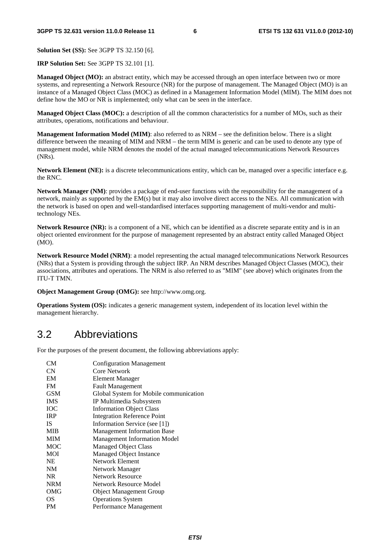**Solution Set (SS):** See 3GPP TS 32.150 [6].

**IRP Solution Set:** See 3GPP TS 32.101 [1].

**Managed Object (MO):** an abstract entity, which may be accessed through an open interface between two or more systems, and representing a Network Resource (NR) for the purpose of management. The Managed Object (MO) is an instance of a Managed Object Class (MOC) as defined in a Management Information Model (MIM). The MIM does not define how the MO or NR is implemented; only what can be seen in the interface.

**Managed Object Class (MOC):** a description of all the common characteristics for a number of MOs, such as their attributes, operations, notifications and behaviour.

**Management Information Model (MIM)**: also referred to as NRM – see the definition below. There is a slight difference between the meaning of MIM and NRM – the term MIM is generic and can be used to denote any type of management model, while NRM denotes the model of the actual managed telecommunications Network Resources (NRs).

**Network Element (NE):** is a discrete telecommunications entity, which can be, managed over a specific interface e.g. the RNC.

**Network Manager (NM)**: provides a package of end-user functions with the responsibility for the management of a network, mainly as supported by the EM(s) but it may also involve direct access to the NEs. All communication with the network is based on open and well-standardised interfaces supporting management of multi-vendor and multitechnology NEs.

**Network Resource (NR):** is a component of a NE, which can be identified as a discrete separate entity and is in an object oriented environment for the purpose of management represented by an abstract entity called Managed Object  $(MO)$ .

**Network Resource Model (NRM)**: a model representing the actual managed telecommunications Network Resources (NRs) that a System is providing through the subject IRP. An NRM describes Managed Object Classes (MOC), their associations, attributes and operations. The NRM is also referred to as "MIM" (see above) which originates from the ITU-T TMN.

**Object Management Group (OMG):** see http://www.omg.org.

**Operations System (OS):** indicates a generic management system, independent of its location level within the management hierarchy.

### 3.2 Abbreviations

For the purposes of the present document, the following abbreviations apply:

| CM <sub></sub> | <b>Configuration Management</b>        |
|----------------|----------------------------------------|
| <b>CN</b>      | Core Network                           |
| EM             | Element Manager                        |
| <b>FM</b>      | <b>Fault Management</b>                |
| <b>GSM</b>     | Global System for Mobile communication |
| <b>IMS</b>     | IP Multimedia Subsystem                |
| ЮC             | <b>Information Object Class</b>        |
| <b>IRP</b>     | <b>Integration Reference Point</b>     |
| IS.            | Information Service (see [1])          |
| <b>MIB</b>     | <b>Management Information Base</b>     |
| <b>MIM</b>     | <b>Management Information Model</b>    |
| MOC            | <b>Managed Object Class</b>            |
| <b>MOI</b>     | Managed Object Instance                |
| <b>NE</b>      | <b>Network Element</b>                 |
| <b>NM</b>      | Network Manager                        |
| NR.            | <b>Network Resource</b>                |
| <b>NRM</b>     | <b>Network Resource Model</b>          |
| OMG            | <b>Object Management Group</b>         |
| <b>OS</b>      | <b>Operations System</b>               |
| PМ             | Performance Management                 |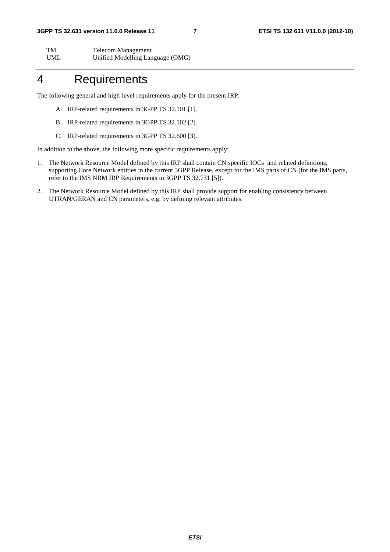| TM         | <b>Telecom Management</b>        |
|------------|----------------------------------|
| <b>UML</b> | Unified Modelling Language (OMG) |

### 4 Requirements

The following general and high-level requirements apply for the present IRP:

- A. IRP-related requirements in 3GPP TS 32.101 [1].
- B. IRP-related requirements in 3GPP TS 32.102 [2].
- C. IRP-related requirements in 3GPP TS 32.600 [3].

In addition to the above, the following more specific requirements apply:

- 1. The Network Resource Model defined by this IRP shall contain CN specific IOCs and related definitions, supporting Core Network entities in the current 3GPP Release, except for the IMS parts of CN (for the IMS parts, refer to the IMS NRM IRP Requirements in 3GPP TS 32.731 [5]).
- 2. The Network Resource Model defined by this IRP shall provide support for enabling consistency between UTRAN/GERAN and CN parameters, e.g. by defining relevant attributes.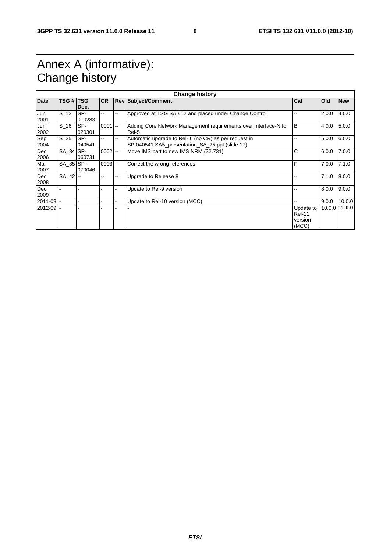## Annex A (informative): Change history

| <b>Change history</b><br><b>TSG # TSG</b> |           |               |            |            |                                                                                                          |                                                |       |               |
|-------------------------------------------|-----------|---------------|------------|------------|----------------------------------------------------------------------------------------------------------|------------------------------------------------|-------|---------------|
| <b>Date</b>                               |           |               | <b>ICR</b> |            | <b>Rev Subject/Comment</b>                                                                               | Cat                                            | Old   | <b>New</b>    |
|                                           |           | Doc.          |            |            |                                                                                                          |                                                |       |               |
| Jun<br>2001                               | S 12      | SP-<br>010283 |            | --         | Approved at TSG SA #12 and placed under Change Control                                                   |                                                | 2.0.0 | 4.0.0         |
| Jun<br>2002                               | S 16      | SP-<br>020301 | 0001       | <b>1-4</b> | Adding Core Network Management requirements over Interface-N for<br>Rel-5                                | ΙB                                             | 4.0.0 | 5.0.0         |
| Sep<br>2004                               | S 25      | SP-<br>040541 |            | --         | Automatic upgrade to Rel- 6 (no CR) as per request in<br>SP-040541 SA5_presentation_SA_25.ppt (slide 17) |                                                | 5.0.0 | 6.0.0         |
| Dec<br>2006                               | SA 34 SP- | 060731        | $0002$ --  |            | Move IMS part to new IMS NRM (32.731)                                                                    | С                                              | 6.0.0 | 7.0.0         |
| Mar<br>2007                               | SA 35 SP- | 070046        | $0003$ --  |            | Correct the wrong references                                                                             | F                                              | 7.0.0 | 7.1.0         |
| Dec<br>2008                               | SA 42 -   |               |            | --         | Upgrade to Release 8                                                                                     |                                                | 7.1.0 | 8.0.0         |
| Dec<br>2009                               |           |               |            |            | Update to Rel-9 version                                                                                  |                                                | 8.0.0 | 9.0.0         |
| $2011 - 03$ -                             |           |               |            |            | Update to Rel-10 version (MCC)                                                                           |                                                | 9.0.0 | 10.0.0        |
| $2012 - 09$ -                             |           |               |            |            |                                                                                                          | Update to<br><b>Rel-11</b><br>version<br>(MCC) |       | 10.0.0 11.0.0 |